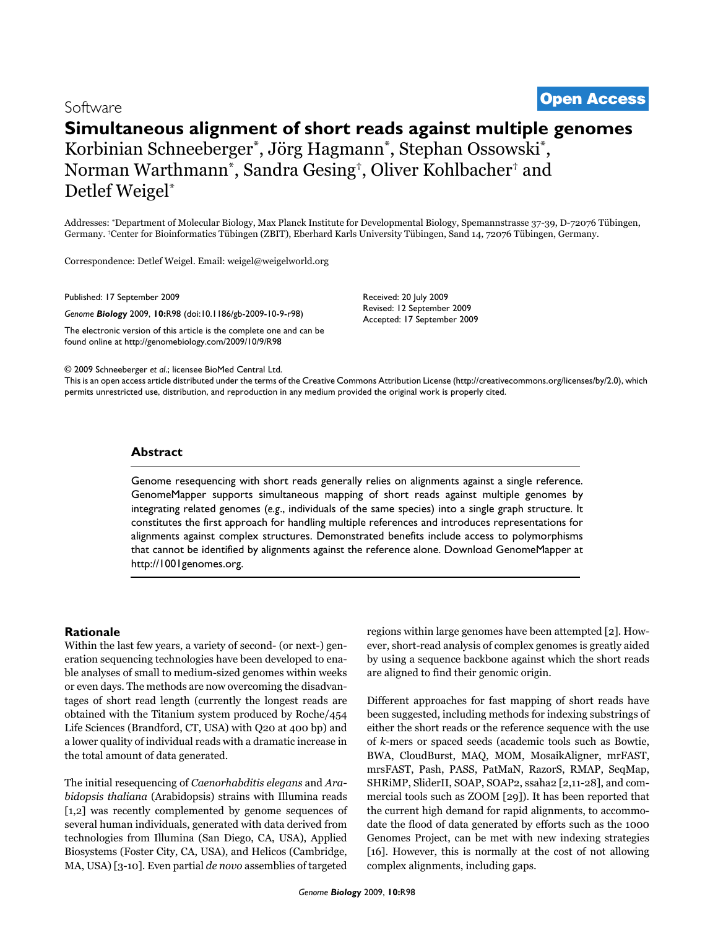# *Genome Biology* 2009, **10:**R98

# 2009 Software **10, Issue 9, Article Report Access** Software 9, Article R98 **[Open Access](http://www.biomedcentral.com/info/about/charter/)** Software 3, Article R98 Software 3, Article R98 Software 3, Article R98 Software 3, Article R98 Software 3, Article R98 Software 3, A **Simultaneous alignment of short reads against multiple genomes** Korbinian Schneeberger\*, Jörg Hagmann\*, Stephan Ossowski\*, Norman Warthmann\*, Sandra Gesing†, Oliver Kohlbacher† and Detlef Weigel\*

Addresses: \*Department of Molecular Biology, Max Planck Institute for Developmental Biology, Spemannstrasse 37-39, D-72076 Tübingen, Germany. †Center for Bioinformatics Tübingen (ZBIT), Eberhard Karls University Tübingen, Sand 14, 72076 Tübingen, Germany.

Correspondence: Detlef Weigel. Email: weigel@weigelworld.or[g](http://www.ncbi.nlm.nih.gov/entrez/query.fcgi?cmd=Retrieve&db=PubMed&dopt=Abstract&list_uids=19761611)

Published: 17 September 2009

*Genome Biology* 2009, **10:**R98 (doi:10.1186/gb-2009-10-9-r98)

[The electronic version of this article is the complete one and can be](http://genomebiology.com/2009/10/9/R98)  found online at http://genomebiology.com/2009/10/9/R98

© 2009 Schneeberger *et al*.; licensee BioMed Central Ltd.

[This is an open access article distributed under the terms of the Creative Commons Attribution License \(http://creativecommons.org/licenses/by/2.0\), which](http://creativecommons.org/licenses/by/2.0)  permits unrestricted use, distribution, and reproduction in any medium provided the original work is properly cited.

# **Abstract**

Genome resequencing with short reads generally relies on alignments against a single reference. GenomeMapper supports simultaneous mapping of short reads against multiple genomes by integrating related genomes (*e.g*[., individuals of the same species\) into a single graph structure. It](http://1001genomes.org) [constitutes the first approach for handling multiple references and introduces representations for](http://1001genomes.org) alignments against complex structures. Demonstrated benefits include access to polymorphisms that cannot be identified by alignments against the reference alone. Download GenomeMapper at http://1001genomes.org.

# **Rationale**

Within the last few years, a variety of second- (or next-) generation sequencing technologies have been developed to enable analyses of small to medium-sized genomes within weeks or even days. The methods are now overcoming the disadvantages of short read length (currently the longest reads are obtained with the Titanium system produced by Roche/454 Life Sciences (Brandford, CT, USA) with Q20 at 400 bp) and a lower quality of individual reads with a dramatic increase in the total amount of data generated.

The initial resequencing of *Caenorhabditis elegans* and *Arabidopsis thaliana* (Arabidopsis) strains with Illumina reads [1,2] was recently complemented by genome sequences of several human individuals, generated with data derived from technologies from Illumina (San Diego, CA, USA), Applied Biosystems (Foster City, CA, USA), and Helicos (Cambridge, MA, USA) [3-10]. Even partial *de novo* assemblies of targeted regions within large genomes have been attempted [2]. However, short-read analysis of complex genomes is greatly aided by using a sequence backbone against which the short reads are aligned to find their genomic origin.

Different approaches for fast mapping of short reads have been suggested, including methods for indexing substrings of either the short reads or the reference sequence with the use of *k*-mers or spaced seeds (academic tools such as Bowtie, BWA, CloudBurst, MAQ, MOM, MosaikAligner, mrFAST, mrsFAST, Pash, PASS, PatMaN, RazorS, RMAP, SeqMap, SHRiMP, SliderII, SOAP, SOAP2, ssaha2 [2,11-28], and commercial tools such as ZOOM [29]). It has been reported that the current high demand for rapid alignments, to accommodate the flood of data generated by efforts such as the 1000 Genomes Project, can be met with new indexing strategies [16]. However, this is normally at the cost of not allowing complex alignments, including gaps.

Received: 20 July 2009 Revised: 12 September 2009 Accepted: 17 September 2009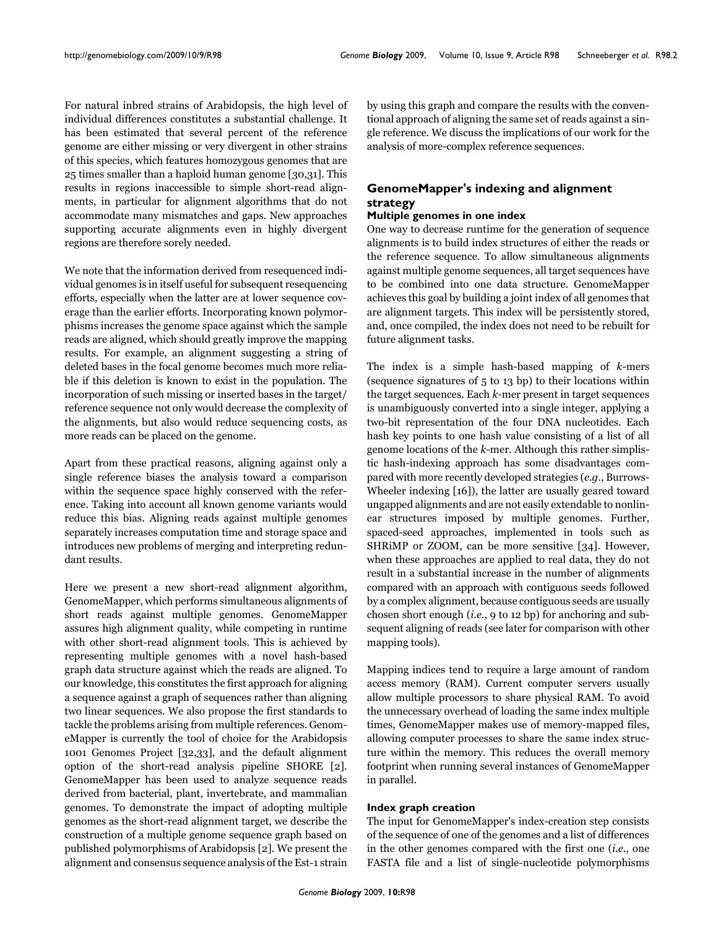For natural inbred strains of Arabidopsis, the high level of individual differences constitutes a substantial challenge. It has been estimated that several percent of the reference genome are either missing or very divergent in other strains of this species, which features homozygous genomes that are 25 times smaller than a haploid human genome [30,31]. This results in regions inaccessible to simple short-read alignments, in particular for alignment algorithms that do not accommodate many mismatches and gaps. New approaches supporting accurate alignments even in highly divergent regions are therefore sorely needed.

We note that the information derived from resequenced individual genomes is in itself useful for subsequent resequencing efforts, especially when the latter are at lower sequence coverage than the earlier efforts. Incorporating known polymorphisms increases the genome space against which the sample reads are aligned, which should greatly improve the mapping results. For example, an alignment suggesting a string of deleted bases in the focal genome becomes much more reliable if this deletion is known to exist in the population. The incorporation of such missing or inserted bases in the target/ reference sequence not only would decrease the complexity of the alignments, but also would reduce sequencing costs, as more reads can be placed on the genome.

Apart from these practical reasons, aligning against only a single reference biases the analysis toward a comparison within the sequence space highly conserved with the reference. Taking into account all known genome variants would reduce this bias. Aligning reads against multiple genomes separately increases computation time and storage space and introduces new problems of merging and interpreting redundant results.

Here we present a new short-read alignment algorithm, GenomeMapper, which performs simultaneous alignments of short reads against multiple genomes. GenomeMapper assures high alignment quality, while competing in runtime with other short-read alignment tools. This is achieved by representing multiple genomes with a novel hash-based graph data structure against which the reads are aligned. To our knowledge, this constitutes the first approach for aligning a sequence against a graph of sequences rather than aligning two linear sequences. We also propose the first standards to tackle the problems arising from multiple references. GenomeMapper is currently the tool of choice for the Arabidopsis 1001 Genomes Project [32,33], and the default alignment option of the short-read analysis pipeline SHORE [2]. GenomeMapper has been used to analyze sequence reads derived from bacterial, plant, invertebrate, and mammalian genomes. To demonstrate the impact of adopting multiple genomes as the short-read alignment target, we describe the construction of a multiple genome sequence graph based on published polymorphisms of Arabidopsis [2]. We present the alignment and consensus sequence analysis of the Est-1 strain

by using this graph and compare the results with the conventional approach of aligning the same set of reads against a single reference. We discuss the implications of our work for the analysis of more-complex reference sequences.

# **GenomeMapper's indexing and alignment strategy**

#### **Multiple genomes in one index**

One way to decrease runtime for the generation of sequence alignments is to build index structures of either the reads or the reference sequence. To allow simultaneous alignments against multiple genome sequences, all target sequences have to be combined into one data structure. GenomeMapper achieves this goal by building a joint index of all genomes that are alignment targets. This index will be persistently stored, and, once compiled, the index does not need to be rebuilt for future alignment tasks.

The index is a simple hash-based mapping of *k*-mers (sequence signatures of 5 to 13 bp) to their locations within the target sequences. Each *k*-mer present in target sequences is unambiguously converted into a single integer, applying a two-bit representation of the four DNA nucleotides. Each hash key points to one hash value consisting of a list of all genome locations of the *k*-mer. Although this rather simplistic hash-indexing approach has some disadvantages compared with more recently developed strategies (*e.g*., Burrows-Wheeler indexing [16]), the latter are usually geared toward ungapped alignments and are not easily extendable to nonlinear structures imposed by multiple genomes. Further, spaced-seed approaches, implemented in tools such as SHRiMP or ZOOM, can be more sensitive [34]. However, when these approaches are applied to real data, they do not result in a substantial increase in the number of alignments compared with an approach with contiguous seeds followed by a complex alignment, because contiguous seeds are usually chosen short enough (*i.e*., 9 to 12 bp) for anchoring and subsequent aligning of reads (see later for comparison with other mapping tools).

Mapping indices tend to require a large amount of random access memory (RAM). Current computer servers usually allow multiple processors to share physical RAM. To avoid the unnecessary overhead of loading the same index multiple times, GenomeMapper makes use of memory-mapped files, allowing computer processes to share the same index structure within the memory. This reduces the overall memory footprint when running several instances of GenomeMapper in parallel.

#### **Index graph creation**

The input for GenomeMapper's index-creation step consists of the sequence of one of the genomes and a list of differences in the other genomes compared with the first one (*i.e*., one FASTA file and a list of single-nucleotide polymorphisms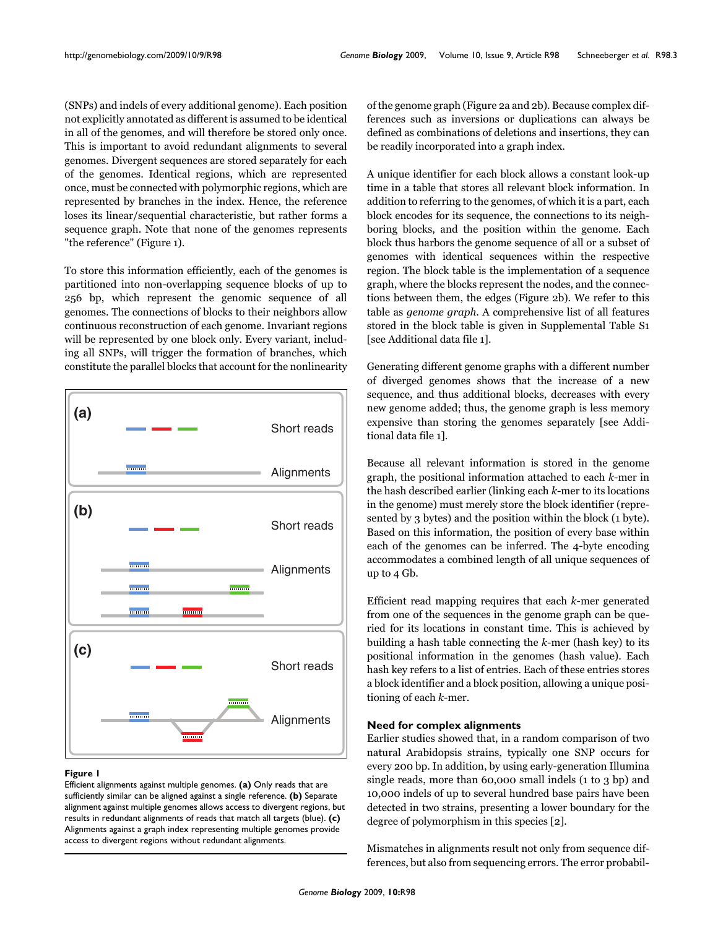(SNPs) and indels of every additional genome). Each position not explicitly annotated as different is assumed to be identical in all of the genomes, and will therefore be stored only once. This is important to avoid redundant alignments to several genomes. Divergent sequences are stored separately for each of the genomes. Identical regions, which are represented once, must be connected with polymorphic regions, which are represented by branches in the index. Hence, the reference loses its linear/sequential characteristic, but rather forms a sequence graph. Note that none of the genomes represents "the reference" (Figure 1).

To store this information efficiently, each of the genomes is partitioned into non-overlapping sequence blocks of up to 256 bp, which represent the genomic sequence of all genomes. The connections of blocks to their neighbors allow continuous reconstruction of each genome. Invariant regions will be represented by one block only. Every variant, including all SNPs, will trigger the formation of branches, which constitute the parallel blocks that account for the nonlinearity



#### **Figure 1**

Efficient alignments against multiple genomes. **(a)** Only reads that are sufficiently similar can be aligned against a single reference. **(b)** Separate alignment against multiple genomes allows access to divergent regions, but results in redundant alignments of reads that match all targets (blue). **(c)**  Alignments against a graph index representing multiple genomes provide access to divergent regions without redundant alignments.

of the genome graph (Figure 2a and 2b). Because complex differences such as inversions or duplications can always be defined as combinations of deletions and insertions, they can be readily incorporated into a graph index.

A unique identifier for each block allows a constant look-up time in a table that stores all relevant block information. In addition to referring to the genomes, of which it is a part, each block encodes for its sequence, the connections to its neighboring blocks, and the position within the genome. Each block thus harbors the genome sequence of all or a subset of genomes with identical sequences within the respective region. The block table is the implementation of a sequence graph, where the blocks represent the nodes, and the connections between them, the edges (Figure 2b). We refer to this table as *genome graph*. A comprehensive list of all features stored in the block table is given in Supplemental Table S1 [see Additional data file 1].

Generating different genome graphs with a different number of diverged genomes shows that the increase of a new sequence, and thus additional blocks, decreases with every new genome added; thus, the genome graph is less memory expensive than storing the genomes separately [see Additional data file 1].

Because all relevant information is stored in the genome graph, the positional information attached to each *k*-mer in the hash described earlier (linking each *k*-mer to its locations in the genome) must merely store the block identifier (represented by 3 bytes) and the position within the block (1 byte). Based on this information, the position of every base within each of the genomes can be inferred. The 4-byte encoding accommodates a combined length of all unique sequences of up to 4 Gb.

Efficient read mapping requires that each *k*-mer generated from one of the sequences in the genome graph can be queried for its locations in constant time. This is achieved by building a hash table connecting the *k*-mer (hash key) to its positional information in the genomes (hash value). Each hash key refers to a list of entries. Each of these entries stores a block identifier and a block position, allowing a unique positioning of each *k*-mer.

### **Need for complex alignments**

Earlier studies showed that, in a random comparison of two natural Arabidopsis strains, typically one SNP occurs for every 200 bp. In addition, by using early-generation Illumina single reads, more than 60,000 small indels (1 to 3 bp) and 10,000 indels of up to several hundred base pairs have been detected in two strains, presenting a lower boundary for the degree of polymorphism in this species [2].

Mismatches in alignments result not only from sequence differences, but also from sequencing errors. The error probabil-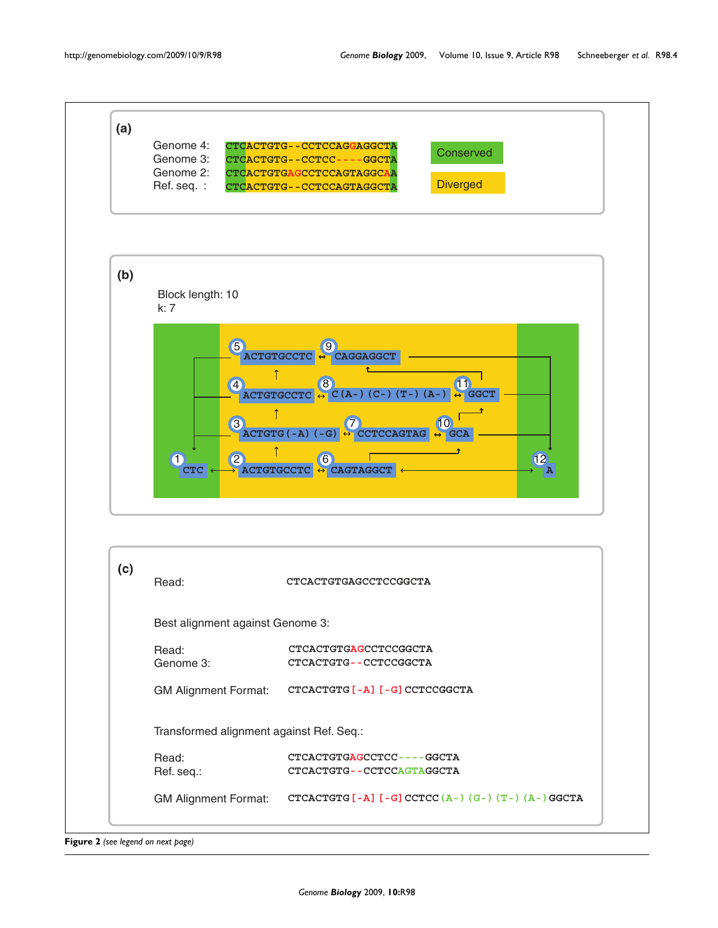

**Figure 2** *(see legend on next page)*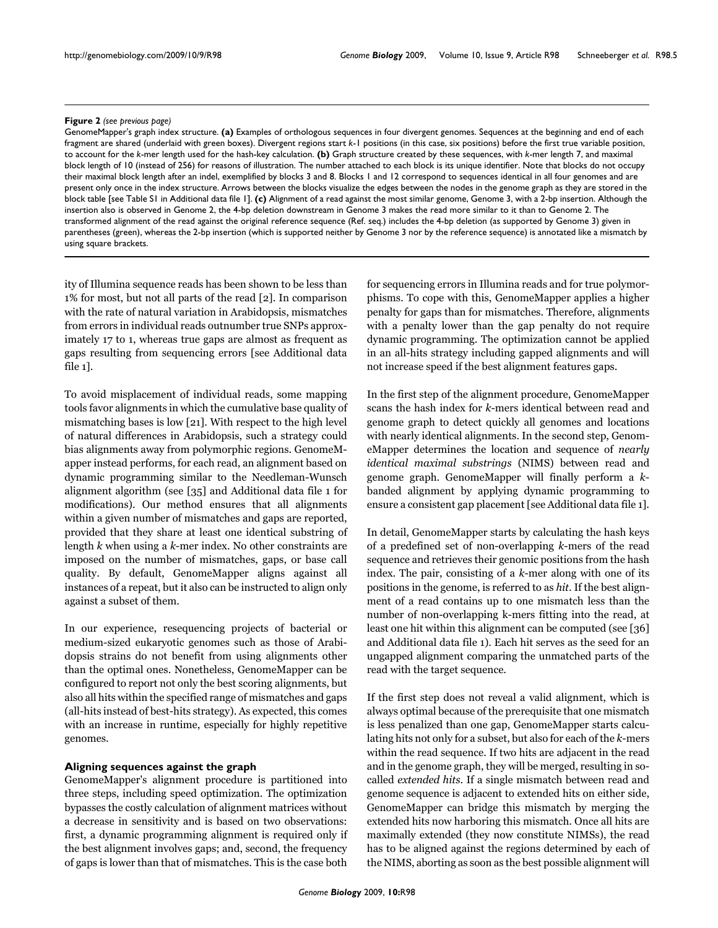#### Figure 2 (see previous page)

GenomeMapper's graph index structure. **(a)** Examples of orthologous sequences in four divergent genomes. Sequences at the beginning and end of each fragment are shared (underlaid with green boxes). Divergent regions start *k*-1 positions (in this case, six positions) before the first true variable position, to account for the *k*-mer length used for the hash-key calculation. **(b)** Graph structure created by these sequences, with *k*-mer length 7, and maximal block length of 10 (instead of 256) for reasons of illustration. The number attached to each block is its unique identifier. Note that blocks do not occupy their maximal block length after an indel, exemplified by blocks 3 and 8. Blocks 1 and 12 correspond to sequences identical in all four genomes and are present only once in the index structure. Arrows between the blocks visualize the edges between the nodes in the genome graph as they are stored in the block table [see Table S1 in Additional data file 1]. **(c)** Alignment of a read against the most similar genome, Genome 3, with a 2-bp insertion. Although the insertion also is observed in Genome 2, the 4-bp deletion downstream in Genome 3 makes the read more similar to it than to Genome 2. The transformed alignment of the read against the original reference sequence (Ref. seq.) includes the 4-bp deletion (as supported by Genome 3) given in parentheses (green), whereas the 2-bp insertion (which is supported neither by Genome 3 nor by the reference sequence) is annotated like a mismatch by using square brackets.

ity of Illumina sequence reads has been shown to be less than 1% for most, but not all parts of the read [2]. In comparison with the rate of natural variation in Arabidopsis, mismatches from errors in individual reads outnumber true SNPs approximately 17 to 1, whereas true gaps are almost as frequent as gaps resulting from sequencing errors [see Additional data file 1].

To avoid misplacement of individual reads, some mapping tools favor alignments in which the cumulative base quality of mismatching bases is low [21]. With respect to the high level of natural differences in Arabidopsis, such a strategy could bias alignments away from polymorphic regions. GenomeMapper instead performs, for each read, an alignment based on dynamic programming similar to the Needleman-Wunsch alignment algorithm (see [35] and Additional data file 1 for modifications). Our method ensures that all alignments within a given number of mismatches and gaps are reported, provided that they share at least one identical substring of length *k* when using a *k*-mer index. No other constraints are imposed on the number of mismatches, gaps, or base call quality. By default, GenomeMapper aligns against all instances of a repeat, but it also can be instructed to align only against a subset of them.

In our experience, resequencing projects of bacterial or medium-sized eukaryotic genomes such as those of Arabidopsis strains do not benefit from using alignments other than the optimal ones. Nonetheless, GenomeMapper can be configured to report not only the best scoring alignments, but also all hits within the specified range of mismatches and gaps (all-hits instead of best-hits strategy). As expected, this comes with an increase in runtime, especially for highly repetitive genomes.

#### **Aligning sequences against the graph**

GenomeMapper's alignment procedure is partitioned into three steps, including speed optimization. The optimization bypasses the costly calculation of alignment matrices without a decrease in sensitivity and is based on two observations: first, a dynamic programming alignment is required only if the best alignment involves gaps; and, second, the frequency of gaps is lower than that of mismatches. This is the case both for sequencing errors in Illumina reads and for true polymorphisms. To cope with this, GenomeMapper applies a higher penalty for gaps than for mismatches. Therefore, alignments with a penalty lower than the gap penalty do not require dynamic programming. The optimization cannot be applied in an all-hits strategy including gapped alignments and will not increase speed if the best alignment features gaps.

In the first step of the alignment procedure, GenomeMapper scans the hash index for *k*-mers identical between read and genome graph to detect quickly all genomes and locations with nearly identical alignments. In the second step, GenomeMapper determines the location and sequence of *nearly identical maximal substrings* (NIMS) between read and genome graph. GenomeMapper will finally perform a *k*banded alignment by applying dynamic programming to ensure a consistent gap placement [see Additional data file 1].

In detail, GenomeMapper starts by calculating the hash keys of a predefined set of non-overlapping *k*-mers of the read sequence and retrieves their genomic positions from the hash index. The pair, consisting of a *k*-mer along with one of its positions in the genome, is referred to as *hit*. If the best alignment of a read contains up to one mismatch less than the number of non-overlapping k-mers fitting into the read, at least one hit within this alignment can be computed (see [36] and Additional data file 1). Each hit serves as the seed for an ungapped alignment comparing the unmatched parts of the read with the target sequence.

If the first step does not reveal a valid alignment, which is always optimal because of the prerequisite that one mismatch is less penalized than one gap, GenomeMapper starts calculating hits not only for a subset, but also for each of the *k*-mers within the read sequence. If two hits are adjacent in the read and in the genome graph, they will be merged, resulting in socalled *extended hits*. If a single mismatch between read and genome sequence is adjacent to extended hits on either side, GenomeMapper can bridge this mismatch by merging the extended hits now harboring this mismatch. Once all hits are maximally extended (they now constitute NIMSs), the read has to be aligned against the regions determined by each of the NIMS, aborting as soon as the best possible alignment will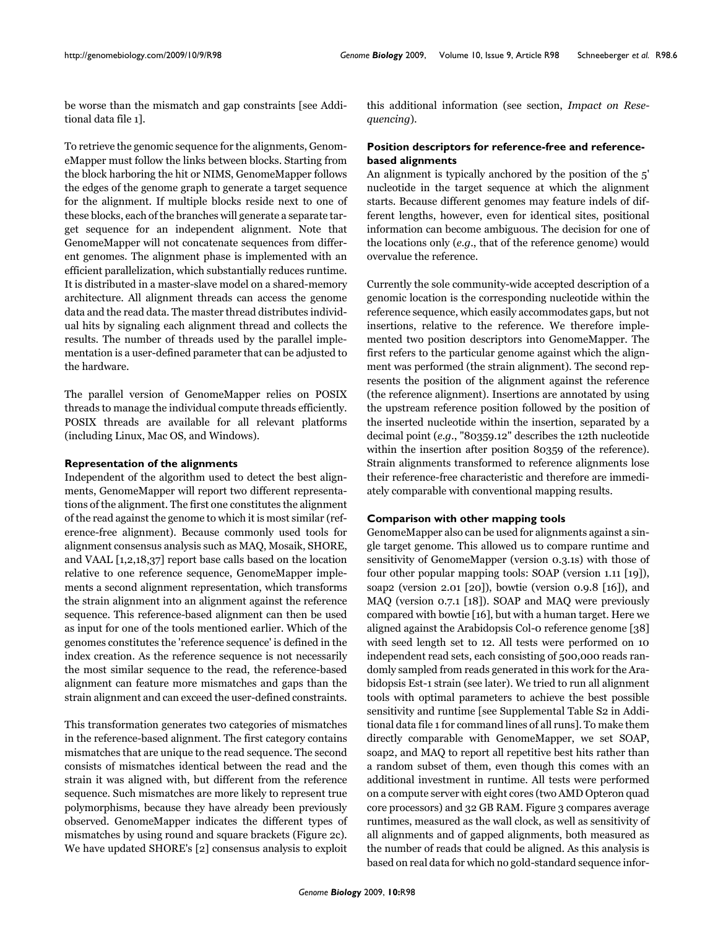be worse than the mismatch and gap constraints [see Additional data file 1].

To retrieve the genomic sequence for the alignments, GenomeMapper must follow the links between blocks. Starting from the block harboring the hit or NIMS, GenomeMapper follows the edges of the genome graph to generate a target sequence for the alignment. If multiple blocks reside next to one of these blocks, each of the branches will generate a separate target sequence for an independent alignment. Note that GenomeMapper will not concatenate sequences from different genomes. The alignment phase is implemented with an efficient parallelization, which substantially reduces runtime. It is distributed in a master-slave model on a shared-memory architecture. All alignment threads can access the genome data and the read data. The master thread distributes individual hits by signaling each alignment thread and collects the results. The number of threads used by the parallel implementation is a user-defined parameter that can be adjusted to the hardware.

The parallel version of GenomeMapper relies on POSIX threads to manage the individual compute threads efficiently. POSIX threads are available for all relevant platforms (including Linux, Mac OS, and Windows).

#### **Representation of the alignments**

Independent of the algorithm used to detect the best alignments, GenomeMapper will report two different representations of the alignment. The first one constitutes the alignment of the read against the genome to which it is most similar (reference-free alignment). Because commonly used tools for alignment consensus analysis such as MAQ, Mosaik, SHORE, and VAAL [1,2,18,37] report base calls based on the location relative to one reference sequence, GenomeMapper implements a second alignment representation, which transforms the strain alignment into an alignment against the reference sequence. This reference-based alignment can then be used as input for one of the tools mentioned earlier. Which of the genomes constitutes the 'reference sequence' is defined in the index creation. As the reference sequence is not necessarily the most similar sequence to the read, the reference-based alignment can feature more mismatches and gaps than the strain alignment and can exceed the user-defined constraints.

This transformation generates two categories of mismatches in the reference-based alignment. The first category contains mismatches that are unique to the read sequence. The second consists of mismatches identical between the read and the strain it was aligned with, but different from the reference sequence. Such mismatches are more likely to represent true polymorphisms, because they have already been previously observed. GenomeMapper indicates the different types of mismatches by using round and square brackets (Figure 2c). We have updated SHORE's [2] consensus analysis to exploit

this additional information (see section, *Impact on Resequencing*).

# **Position descriptors for reference-free and referencebased alignments**

An alignment is typically anchored by the position of the 5' nucleotide in the target sequence at which the alignment starts. Because different genomes may feature indels of different lengths, however, even for identical sites, positional information can become ambiguous. The decision for one of the locations only (*e.g*., that of the reference genome) would overvalue the reference.

Currently the sole community-wide accepted description of a genomic location is the corresponding nucleotide within the reference sequence, which easily accommodates gaps, but not insertions, relative to the reference. We therefore implemented two position descriptors into GenomeMapper. The first refers to the particular genome against which the alignment was performed (the strain alignment). The second represents the position of the alignment against the reference (the reference alignment). Insertions are annotated by using the upstream reference position followed by the position of the inserted nucleotide within the insertion, separated by a decimal point (*e.g*., "80359.12" describes the 12th nucleotide within the insertion after position 80359 of the reference). Strain alignments transformed to reference alignments lose their reference-free characteristic and therefore are immediately comparable with conventional mapping results.

#### **Comparison with other mapping tools**

GenomeMapper also can be used for alignments against a single target genome. This allowed us to compare runtime and sensitivity of GenomeMapper (version 0.3.1s) with those of four other popular mapping tools: SOAP (version 1.11 [19]), soap2 (version 2.01 [20]), bowtie (version 0.9.8 [16]), and MAQ (version 0.7.1 [18]). SOAP and MAQ were previously compared with bowtie [16], but with a human target. Here we aligned against the Arabidopsis Col-0 reference genome [38] with seed length set to 12. All tests were performed on 10 independent read sets, each consisting of 500,000 reads randomly sampled from reads generated in this work for the Arabidopsis Est-1 strain (see later). We tried to run all alignment tools with optimal parameters to achieve the best possible sensitivity and runtime [see Supplemental Table S2 in Additional data file 1 for command lines of all runs]. To make them directly comparable with GenomeMapper, we set SOAP, soap2, and MAQ to report all repetitive best hits rather than a random subset of them, even though this comes with an additional investment in runtime. All tests were performed on a compute server with eight cores (two AMD Opteron quad core processors) and 32 GB RAM. Figure 3 compares average runtimes, measured as the wall clock, as well as sensitivity of all alignments and of gapped alignments, both measured as the number of reads that could be aligned. As this analysis is based on real data for which no gold-standard sequence infor-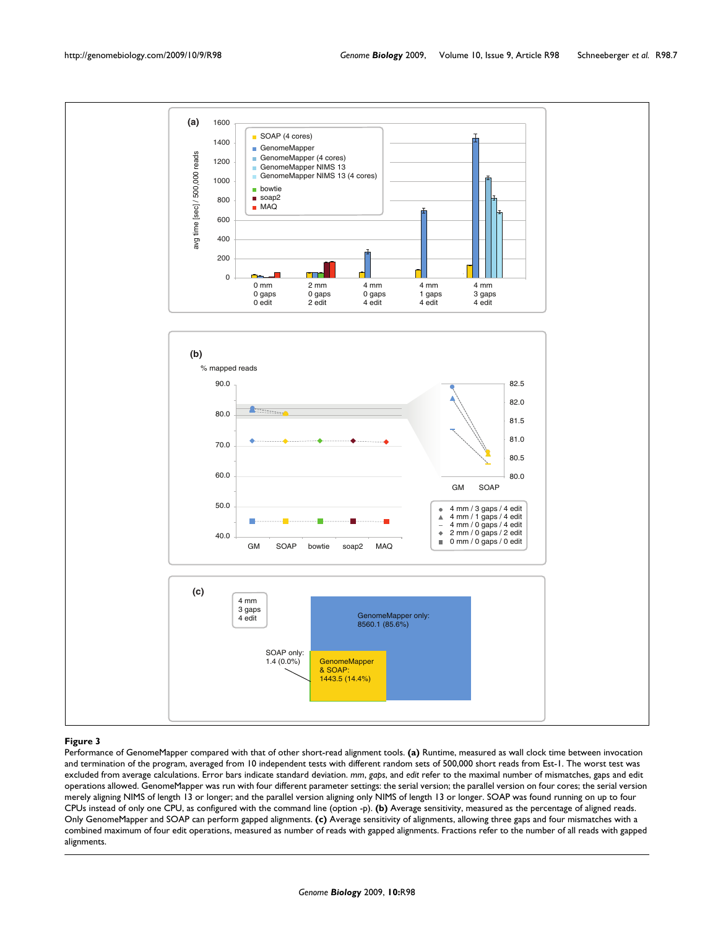

#### Performance of GenomeMapper compared with that of other short-read alignment tools **Figure 3**

Performance of GenomeMapper compared with that of other short-read alignment tools. **(a)** Runtime, measured as wall clock time between invocation and termination of the program, averaged from 10 independent tests with different random sets of 500,000 short reads from Est-1. The worst test was excluded from average calculations. Error bars indicate standard deviation. *mm*, *gaps*, and *edit* refer to the maximal number of mismatches, gaps and edit operations allowed. GenomeMapper was run with four different parameter settings: the serial version; the parallel version on four cores; the serial version merely aligning NIMS of length 13 or longer; and the parallel version aligning only NIMS of length 13 or longer. SOAP was found running on up to four CPUs instead of only one CPU, as configured with the command line (option -p). **(b)** Average sensitivity, measured as the percentage of aligned reads. Only GenomeMapper and SOAP can perform gapped alignments. **(c)** Average sensitivity of alignments, allowing three gaps and four mismatches with a combined maximum of four edit operations, measured as number of reads with gapped alignments. Fractions refer to the number of all reads with gapped alignments.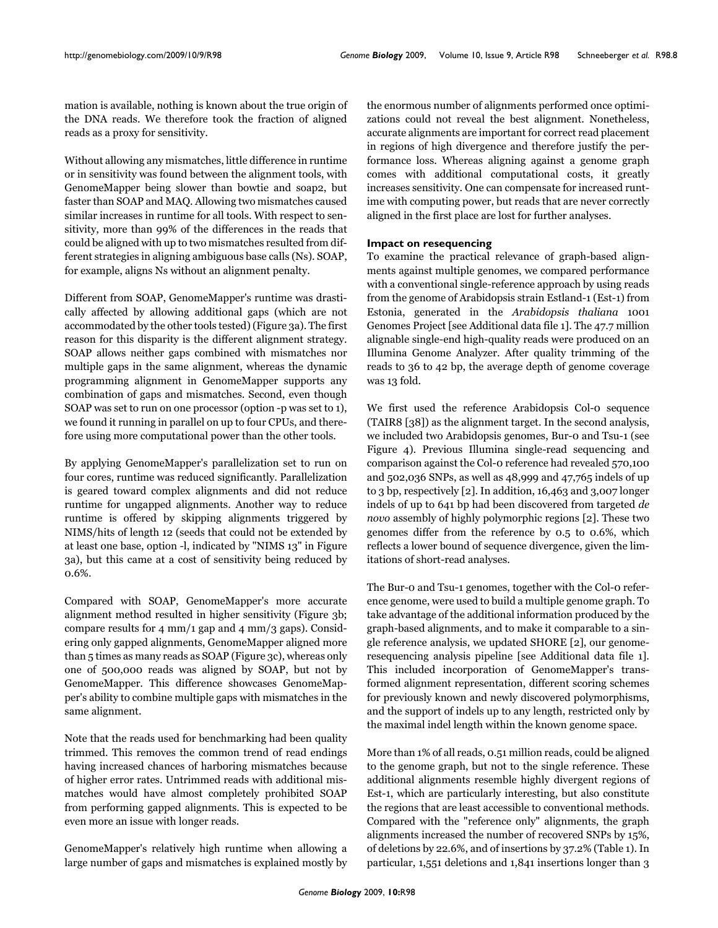mation is available, nothing is known about the true origin of the DNA reads. We therefore took the fraction of aligned reads as a proxy for sensitivity.

Without allowing any mismatches, little difference in runtime or in sensitivity was found between the alignment tools, with GenomeMapper being slower than bowtie and soap2, but faster than SOAP and MAQ. Allowing two mismatches caused similar increases in runtime for all tools. With respect to sensitivity, more than 99% of the differences in the reads that could be aligned with up to two mismatches resulted from different strategies in aligning ambiguous base calls (Ns). SOAP, for example, aligns Ns without an alignment penalty.

Different from SOAP, GenomeMapper's runtime was drastically affected by allowing additional gaps (which are not accommodated by the other tools tested) (Figure 3a). The first reason for this disparity is the different alignment strategy. SOAP allows neither gaps combined with mismatches nor multiple gaps in the same alignment, whereas the dynamic programming alignment in GenomeMapper supports any combination of gaps and mismatches. Second, even though SOAP was set to run on one processor (option -p was set to 1), we found it running in parallel on up to four CPUs, and therefore using more computational power than the other tools.

By applying GenomeMapper's parallelization set to run on four cores, runtime was reduced significantly. Parallelization is geared toward complex alignments and did not reduce runtime for ungapped alignments. Another way to reduce runtime is offered by skipping alignments triggered by NIMS/hits of length 12 (seeds that could not be extended by at least one base, option -l, indicated by "NIMS 13" in Figure 3a), but this came at a cost of sensitivity being reduced by 0.6%.

Compared with SOAP, GenomeMapper's more accurate alignment method resulted in higher sensitivity (Figure 3b; compare results for 4 mm/1 gap and 4 mm/3 gaps). Considering only gapped alignments, GenomeMapper aligned more than 5 times as many reads as SOAP (Figure 3c), whereas only one of 500,000 reads was aligned by SOAP, but not by GenomeMapper. This difference showcases GenomeMapper's ability to combine multiple gaps with mismatches in the same alignment.

Note that the reads used for benchmarking had been quality trimmed. This removes the common trend of read endings having increased chances of harboring mismatches because of higher error rates. Untrimmed reads with additional mismatches would have almost completely prohibited SOAP from performing gapped alignments. This is expected to be even more an issue with longer reads.

GenomeMapper's relatively high runtime when allowing a large number of gaps and mismatches is explained mostly by

the enormous number of alignments performed once optimizations could not reveal the best alignment. Nonetheless, accurate alignments are important for correct read placement in regions of high divergence and therefore justify the performance loss. Whereas aligning against a genome graph comes with additional computational costs, it greatly increases sensitivity. One can compensate for increased runtime with computing power, but reads that are never correctly aligned in the first place are lost for further analyses.

#### **Impact on resequencing**

To examine the practical relevance of graph-based alignments against multiple genomes, we compared performance with a conventional single-reference approach by using reads from the genome of Arabidopsis strain Estland-1 (Est-1) from Estonia, generated in the *Arabidopsis thaliana* 1001 Genomes Project [see Additional data file 1]. The 47.7 million alignable single-end high-quality reads were produced on an Illumina Genome Analyzer. After quality trimming of the reads to 36 to 42 bp, the average depth of genome coverage was 13 fold.

We first used the reference Arabidopsis Col-0 sequence (TAIR8 [38]) as the alignment target. In the second analysis, we included two Arabidopsis genomes, Bur-0 and Tsu-1 (see Figure 4). Previous Illumina single-read sequencing and comparison against the Col-0 reference had revealed 570,100 and 502,036 SNPs, as well as 48,999 and 47,765 indels of up to 3 bp, respectively [2]. In addition, 16,463 and 3,007 longer indels of up to 641 bp had been discovered from targeted *de novo* assembly of highly polymorphic regions [2]. These two genomes differ from the reference by 0.5 to 0.6%, which reflects a lower bound of sequence divergence, given the limitations of short-read analyses.

The Bur-0 and Tsu-1 genomes, together with the Col-0 reference genome, were used to build a multiple genome graph. To take advantage of the additional information produced by the graph-based alignments, and to make it comparable to a single reference analysis, we updated SHORE [2], our genomeresequencing analysis pipeline [see Additional data file 1]. This included incorporation of GenomeMapper's transformed alignment representation, different scoring schemes for previously known and newly discovered polymorphisms, and the support of indels up to any length, restricted only by the maximal indel length within the known genome space.

More than 1% of all reads, 0.51 million reads, could be aligned to the genome graph, but not to the single reference. These additional alignments resemble highly divergent regions of Est-1, which are particularly interesting, but also constitute the regions that are least accessible to conventional methods. Compared with the "reference only" alignments, the graph alignments increased the number of recovered SNPs by 15%, of deletions by 22.6%, and of insertions by 37.2% (Table 1). In particular, 1,551 deletions and 1,841 insertions longer than 3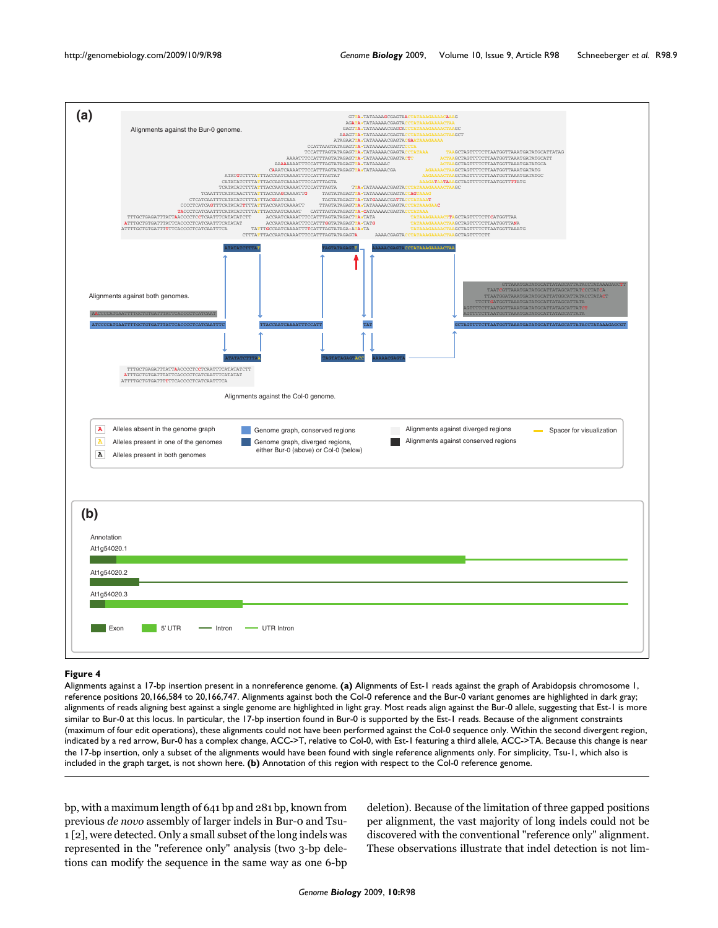

#### **Figure 4**

Alignments against a 17-bp insertion present in a nonreference genome. **(a)** Alignments of Est-1 reads against the graph of Arabidopsis chromosome 1, reference positions 20,166,584 to 20,166,747. Alignments against both the Col-0 reference and the Bur-0 variant genomes are highlighted in dark gray; alignments of reads aligning best against a single genome are highlighted in light gray. Most reads align against the Bur-0 allele, suggesting that Est-1 is more similar to Bur-0 at this locus. In particular, the 17-bp insertion found in Bur-0 is supported by the Est-1 reads. Because of the alignment constraints (maximum of four edit operations), these alignments could not have been performed against the Col-0 sequence only. Within the second divergent region, indicated by a red arrow, Bur-0 has a complex change, ACC->T, relative to Col-0, with Est-1 featuring a third allele, ACC->TA. Because this change is near the 17-bp insertion, only a subset of the alignments would have been found with single reference alignments only. For simplicity, Tsu-1, which also is included in the graph target, is not shown here. **(b)** Annotation of this region with respect to the Col-0 reference genome.

bp, with a maximum length of 641 bp and 281 bp, known from previous *de novo* assembly of larger indels in Bur-0 and Tsu-1 [2], were detected. Only a small subset of the long indels was represented in the "reference only" analysis (two 3-bp deletions can modify the sequence in the same way as one 6-bp

deletion). Because of the limitation of three gapped positions per alignment, the vast majority of long indels could not be discovered with the conventional "reference only" alignment. These observations illustrate that indel detection is not lim-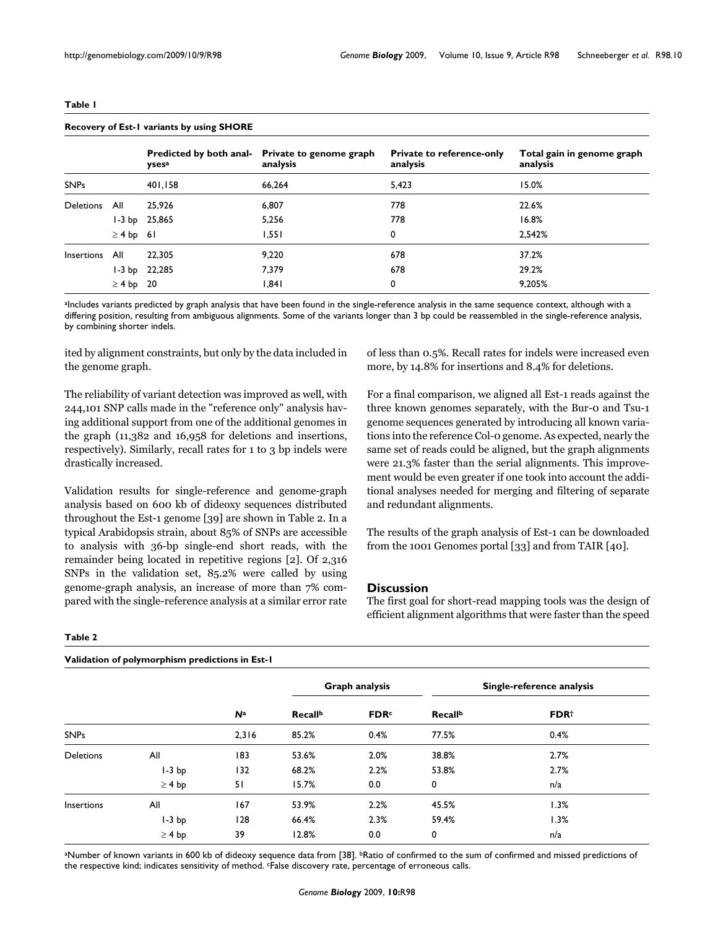| Recovery of Est-1 variants by using SHORE |                |                   |                                                             |                                              |                                        |  |  |  |
|-------------------------------------------|----------------|-------------------|-------------------------------------------------------------|----------------------------------------------|----------------------------------------|--|--|--|
|                                           |                | yses <sup>a</sup> | Predicted by both anal- Private to genome graph<br>analysis | <b>Private to reference-only</b><br>analysis | Total gain in genome graph<br>analysis |  |  |  |
| <b>SNPs</b>                               |                | 401.158           | 66.264                                                      | 5,423                                        | 15.0%                                  |  |  |  |
| Deletions                                 | All            | 25,926            | 6,807                                                       | 778                                          | 22.6%                                  |  |  |  |
|                                           |                | 1-3 bp 25,865     | 5,256                                                       | 778                                          | 16.8%                                  |  |  |  |
|                                           | $\geq 4$ bp 61 |                   | 1,551                                                       | 0                                            | 2.542%                                 |  |  |  |
| Insertions                                | All            | 22,305            | 9,220                                                       | 678                                          | 37.2%                                  |  |  |  |
|                                           |                | 1-3 bp 22,285     | 7,379                                                       | 678                                          | 29.2%                                  |  |  |  |
|                                           | $\geq 4$ bp    | - 20              | ا 84. ا                                                     | 0                                            | 9.205%                                 |  |  |  |

#### **Table 1**

aIncludes variants predicted by graph analysis that have been found in the single-reference analysis in the same sequence context, although with a differing position, resulting from ambiguous alignments. Some of the variants longer than 3 bp could be reassembled in the single-reference analysis, by combining shorter indels.

ited by alignment constraints, but only by the data included in the genome graph.

The reliability of variant detection was improved as well, with 244,101 SNP calls made in the "reference only" analysis having additional support from one of the additional genomes in the graph (11,382 and 16,958 for deletions and insertions, respectively). Similarly, recall rates for 1 to 3 bp indels were drastically increased.

Validation results for single-reference and genome-graph analysis based on 600 kb of dideoxy sequences distributed throughout the Est-1 genome [39] are shown in Table 2. In a typical Arabidopsis strain, about 85% of SNPs are accessible to analysis with 36-bp single-end short reads, with the remainder being located in repetitive regions [2]. Of 2,316 SNPs in the validation set, 85.2% were called by using genome-graph analysis, an increase of more than 7% compared with the single-reference analysis at a similar error rate

of less than 0.5%. Recall rates for indels were increased even more, by 14.8% for insertions and 8.4% for deletions.

For a final comparison, we aligned all Est-1 reads against the three known genomes separately, with the Bur-0 and Tsu-1 genome sequences generated by introducing all known variations into the reference Col-0 genome. As expected, nearly the same set of reads could be aligned, but the graph alignments were 21.3% faster than the serial alignments. This improvement would be even greater if one took into account the additional analyses needed for merging and filtering of separate and redundant alignments.

The results of the graph analysis of Est-1 can be downloaded from the 1001 Genomes portal [33] and from TAIR [40].

#### **Discussion**

The first goal for short-read mapping tools was the design of efficient alignment algorithms that were faster than the speed

| Validation of polymorphism predictions in Est-1 |             |                |                       |                         |                           |                         |  |  |  |  |
|-------------------------------------------------|-------------|----------------|-----------------------|-------------------------|---------------------------|-------------------------|--|--|--|--|
|                                                 |             | N <sup>a</sup> | <b>Graph analysis</b> |                         | Single-reference analysis |                         |  |  |  |  |
|                                                 |             |                | Recallb               | <b>FDR</b> <sup>c</sup> | Recallb                   | <b>FDR</b> <sup>†</sup> |  |  |  |  |
| <b>SNPs</b>                                     |             | 2,316          | 85.2%                 | 0.4%                    | 77.5%                     | 0.4%                    |  |  |  |  |
| <b>Deletions</b>                                | All         | 183            | 53.6%                 | 2.0%                    | 38.8%                     | 2.7%                    |  |  |  |  |
|                                                 | $I-3$ bp    | 132            | 68.2%                 | 2.2%                    | 53.8%                     | 2.7%                    |  |  |  |  |
|                                                 | $\geq 4$ bp | 51             | 15.7%                 | 0.0                     | 0                         | n/a                     |  |  |  |  |
| Insertions                                      | All         | 167            | 53.9%                 | 2.2%                    | 45.5%                     | 1.3%                    |  |  |  |  |
|                                                 | $I-3$ bp    | 128            | 66.4%                 | 2.3%                    | 59.4%                     | 1.3%                    |  |  |  |  |
|                                                 | $\geq 4$ bp | 39             | 12.8%                 | 0.0                     | 0                         | n/a                     |  |  |  |  |

aNumber of known variants in 600 kb of dideoxy sequence data from [38]. **bRatio of confirmed to the sum of confirmed and missed predictions of** the respective kind; indicates sensitivity of method. <sup>c</sup>False discovery rate, percentage of erroneous calls.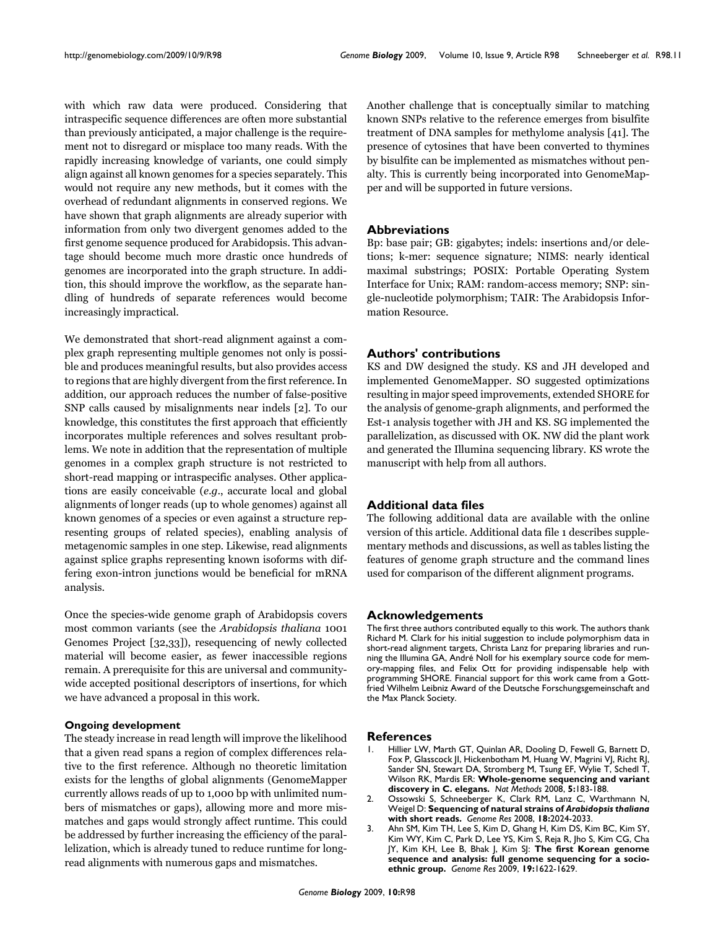with which raw data were produced. Considering that intraspecific sequence differences are often more substantial than previously anticipated, a major challenge is the requirement not to disregard or misplace too many reads. With the rapidly increasing knowledge of variants, one could simply align against all known genomes for a species separately. This would not require any new methods, but it comes with the overhead of redundant alignments in conserved regions. We have shown that graph alignments are already superior with information from only two divergent genomes added to the first genome sequence produced for Arabidopsis. This advantage should become much more drastic once hundreds of genomes are incorporated into the graph structure. In addition, this should improve the workflow, as the separate handling of hundreds of separate references would become increasingly impractical.

We demonstrated that short-read alignment against a complex graph representing multiple genomes not only is possible and produces meaningful results, but also provides access to regions that are highly divergent from the first reference. In addition, our approach reduces the number of false-positive SNP calls caused by misalignments near indels [2]. To our knowledge, this constitutes the first approach that efficiently incorporates multiple references and solves resultant problems. We note in addition that the representation of multiple genomes in a complex graph structure is not restricted to short-read mapping or intraspecific analyses. Other applications are easily conceivable (*e.g*., accurate local and global alignments of longer reads (up to whole genomes) against all known genomes of a species or even against a structure representing groups of related species), enabling analysis of metagenomic samples in one step. Likewise, read alignments against splice graphs representing known isoforms with differing exon-intron junctions would be beneficial for mRNA analysis.

Once the species-wide genome graph of Arabidopsis covers most common variants (see the *Arabidopsis thaliana* 1001 Genomes Project [32,33]), resequencing of newly collected material will become easier, as fewer inaccessible regions remain. A prerequisite for this are universal and communitywide accepted positional descriptors of insertions, for which we have advanced a proposal in this work.

#### **Ongoing development**

The steady increase in read length will improve the likelihood that a given read spans a region of complex differences relative to the first reference. Although no theoretic limitation exists for the lengths of global alignments (GenomeMapper currently allows reads of up to 1,000 bp with unlimited numbers of mismatches or gaps), allowing more and more mismatches and gaps would strongly affect runtime. This could be addressed by further increasing the efficiency of the parallelization, which is already tuned to reduce runtime for longread alignments with numerous gaps and mismatches.

Another challenge that is conceptually similar to matching known SNPs relative to the reference emerges from bisulfite treatment of DNA samples for methylome analysis [41]. The presence of cytosines that have been converted to thymines by bisulfite can be implemented as mismatches without penalty. This is currently being incorporated into GenomeMapper and will be supported in future versions.

# **Abbreviations**

Bp: base pair; GB: gigabytes; indels: insertions and/or deletions; k-mer: sequence signature; NIMS: nearly identical maximal substrings; POSIX: Portable Operating System Interface for Unix; RAM: random-access memory; SNP: single-nucleotide polymorphism; TAIR: The Arabidopsis Information Resource.

# **Authors' contributions**

KS and DW designed the study. KS and JH developed and implemented GenomeMapper. SO suggested optimizations resulting in major speed improvements, extended SHORE for the analysis of genome-graph alignments, and performed the Est-1 analysis together with JH and KS. SG implemented the parallelization, as discussed with OK. NW did the plant work and generated the Illumina sequencing library. KS wrote the manuscript with help from all authors.

# **Additional data files**

The following additional data are available with the online version of this article. Additional data file 1 describes supplementary methods and discussions, as well as tables listing the features of genome graph structure and the command lines used for comparison of the different alignment programs.

# **Acknowledgements**

The first three authors contributed equally to this work. The authors thank Richard M. Clark for his initial suggestion to include polymorphism data in short-read alignment targets, Christa Lanz for preparing libraries and running the Illumina GA, André Noll for his exemplary source code for memory-mapping files, and Felix Ott for providing indispensable help with programming SHORE. Financial support for this work came from a Gottfried Wilhelm Leibniz Award of the Deutsche Forschungsgemeinschaft and the Max Planck Society.

#### **References**

- Hillier LW, Marth GT, Quinlan AR, Dooling D, Fewell G, Barnett D, Fox P, Glasscock JI, Hickenbotham M, Huang W, Magrini VJ, Richt RJ, Sander SN, Stewart DA, Stromberg M, Tsung EF, Wylie T, Schedl T, Wilson RK, Mardis ER: **[Whole-genome sequencing and variant](http://www.ncbi.nlm.nih.gov/entrez/query.fcgi?cmd=Retrieve&db=PubMed&dopt=Abstract&list_uids=18204455) [discovery in C. elegans.](http://www.ncbi.nlm.nih.gov/entrez/query.fcgi?cmd=Retrieve&db=PubMed&dopt=Abstract&list_uids=18204455)** *Nat Methods* 2008, **5:**183-188.
- 2. Ossowski S, Schneeberger K, Clark RM, Lanz C, Warthmann N, Weigel D: **Sequencing of natural strains of** *Arabidopsis thaliana* **[with short reads.](http://www.ncbi.nlm.nih.gov/entrez/query.fcgi?cmd=Retrieve&db=PubMed&dopt=Abstract&list_uids=18818371)** *Genome Res* 2008, **18:**2024-2033.
- 3. Ahn SM, Kim TH, Lee S, Kim D, Ghang H, Kim DS, Kim BC, Kim SY, Kim WY, Kim C, Park D, Lee YS, Kim S, Reja R, Jho S, Kim CG, Cha JY, Kim KH, Lee B, Bhak J, Kim SJ: **[The first Korean genome](http://www.ncbi.nlm.nih.gov/entrez/query.fcgi?cmd=Retrieve&db=PubMed&dopt=Abstract&list_uids=19470904) [sequence and analysis: full genome sequencing for a socio](http://www.ncbi.nlm.nih.gov/entrez/query.fcgi?cmd=Retrieve&db=PubMed&dopt=Abstract&list_uids=19470904)[ethnic group.](http://www.ncbi.nlm.nih.gov/entrez/query.fcgi?cmd=Retrieve&db=PubMed&dopt=Abstract&list_uids=19470904)** *Genome Res* 2009, **19:**1622-1629.